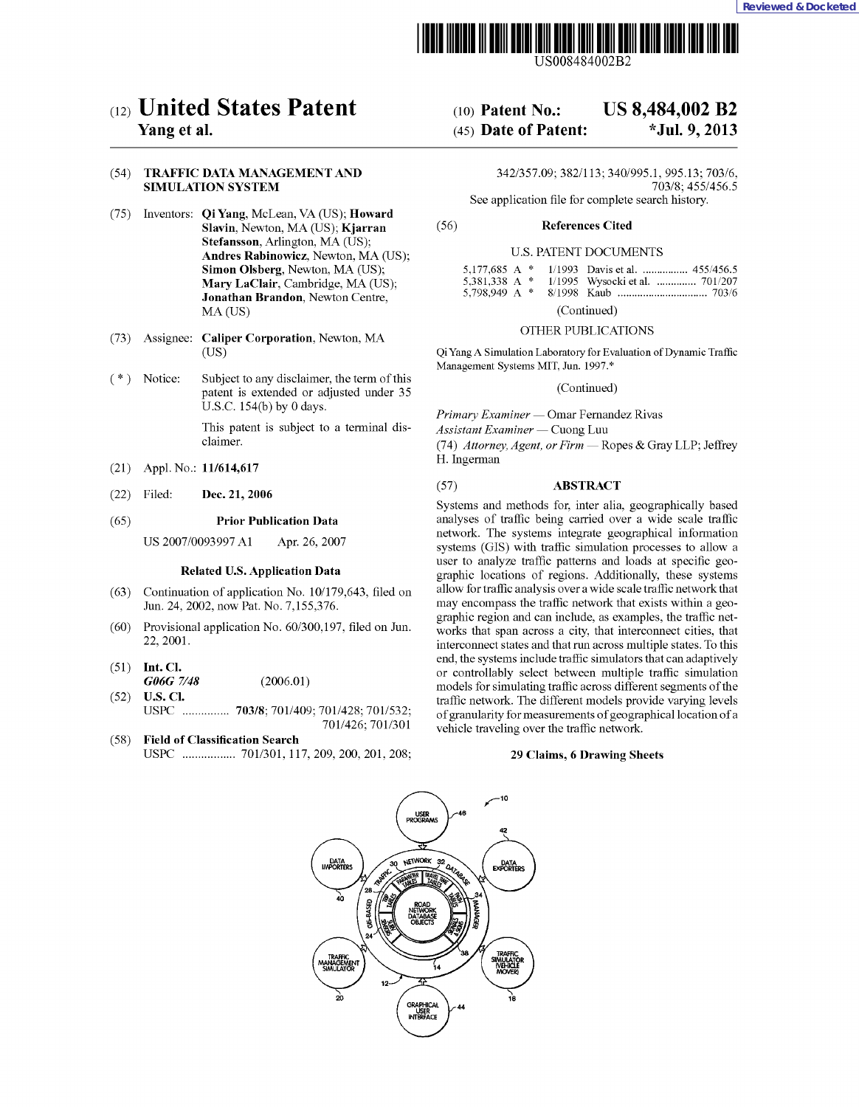



US008484002B2

## (12) United States Patent

### Yang et al.

#### (54) TRAFFIC DATA MANAGEMENT AND SIMULATION SYSTEM

- (75) Inventors: Qi Yang, McLean, VA (US); Howard Slavin, Newton, MA (US); Kjarran Stefansson, Arlington, MA (US); Andres Rabinowicz, Newton, MA (US); Simon Olsberg, Newton, MA (US); Mary LaClair, Cambridge, MA (US); Jonathan Brandon, Newton Centre, MA (US)
- (73) Assignee: Caliper Corporation, Newton, MA (US)
- ( \* ) Notice: Subject to any disclaimer, the term of this patent is extended or adjusted under 35 U.S.C. 154(b) by 0 days.

This patent is subject to a terminal disclaimer.

- (21) Appl. No.: 11/614,617
- (22) Filed: Dec. 21, 2006

#### (65) Prior Publication Data

US 2007/0093997 Al Apr. 26, 2007

#### Related U.S. Application Data

- (63) Continuation of application No. 10/179,643, filed on Jun. 24, 2002, now Pat. No. 7,155,376.
- (60) Provisional application No. 60/300,197, filed on Jun. 22, 2001.
- (51) Int. Cl. G06G 7/48 (2006.01)
- (52) U.S. Cl. USPC ............... 703/8; 701/409; 701/428; 701/532; 701/426; 701/301
- (58) Field of Classification Search USPC ................. 701/301, 117, 209, 200, 201, 208;

# (10) Patent No.: US 8,484,002 B2

## (45) Date of Patent: \*Jul. 9, 2013

342/357.09; 382/113; 340/995.1, 995.13; 703/6, 703/8; 455/456.5 See application file for complete search history.

(56) References Cited

#### U.S. PATENT DOCUMENTS

|  | 5,177,685 A * 1/1993 Davis et al.  455/456.5 |
|--|----------------------------------------------|
|  | 5,381,338 A * 1/1995 Wysocki et al.  701/207 |
|  |                                              |

(Continued)

#### OTHER PUBLICATIONS

Qi Yang A Simulation Laboratory for Evaluation of Dynamic Traffic Management Systems MIT, Jun. 1997.\*

(Continued)

Primary Examiner — Omar Fernandez Rivas

Primary Examiner — Omar Fernandez<br>Assistant Examiner — Cuong Luu

Assistant Examiner — Cuong Luu<br>(74) Attorney, Agent, or Firm — Ropes & Gray LLP; Jeffrey H. Ingerman

#### (57) ABSTRACT

Systems and methods for, inter alia, geographically based analyses of traffic being carried over a wide scale traffic network. The systems integrate geographical information systems (GIS) with traffic simulation processes to allow a user to analyze traffic patterns and loads at specific geographic locations of regions. Additionally, these systems allow for traffic analysis over a wide scale traffic network that may encompass the traffic network that exists within a geographic region and can include, as examples, the traffic networks that span across a city, that interconnect cities, that interconnect states and that run across multiple states. To this end, the systems include traffic simulators that can adaptively or controllably select between multiple traffic simulation models for simulating traffic across different segments of the traffic network. The different models provide varying levels of granularity for measurements of geographical location of a vehicle traveling over the traffic network.

#### 29 Claims, 6 Drawing Sheets

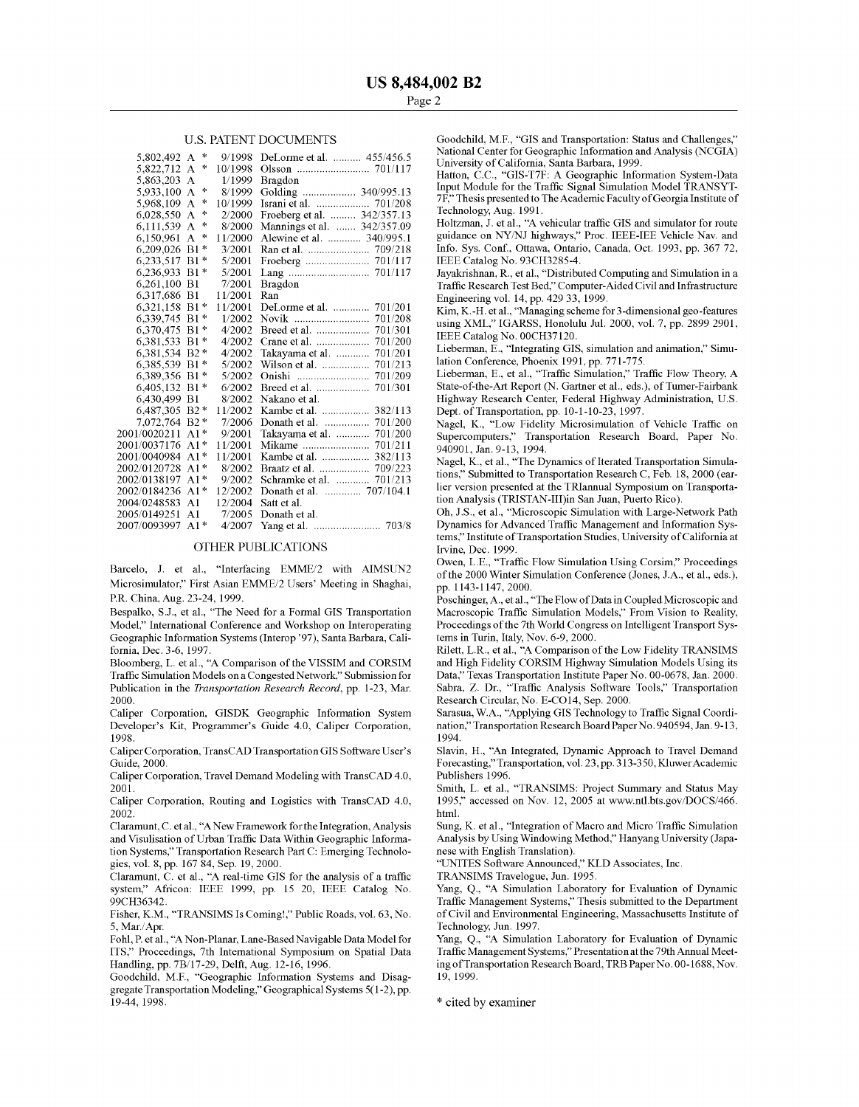#### U.S. PATENT DOCUMENTS

| 5,802,492 A      | $\frac{1}{2}$                 | 9/1998  | DeLorme et al.  455/456.5   |  |
|------------------|-------------------------------|---------|-----------------------------|--|
| 5,822,712        | $\frac{1}{2}$<br>A            | 10/1998 |                             |  |
| 5,863,203        | A                             | 1/1999  | Bragdon                     |  |
| 5.933,100        | 咏<br>A                        | 8/1999  | Golding  340/995.13         |  |
| 5,968,109        | $\frac{1}{2}$<br>A            | 10/1999 |                             |  |
| 6,028,550        | $\frac{1}{2}$<br>$\mathbf{A}$ | 2/2000  | Froeberg et al.  342/357.13 |  |
| 6,111,539 A      | $\frac{1}{2}$                 | 8/2000  | Mannings et al.  342/357.09 |  |
| 6,150,961        | A<br>永                        | 11/2000 | Alewine et al.  340/995.1   |  |
| 6,209,026 B1     | $\pm$                         | 3/2001  |                             |  |
| 6,233,517 B1*    |                               | 5/2001  |                             |  |
| 6.236.933 B1*    |                               | 5/2001  |                             |  |
| 6,261,100 B1     |                               | 7/2001  | Bragdon                     |  |
| 6.317.686 B1     |                               | 11/2001 | Ran                         |  |
| 6,321,158 B1*    |                               | 11/2001 | DeLorme et al.  701/201     |  |
| 6,339,745 B1*    |                               | 1/2002  |                             |  |
| 6.370.475 B1*    |                               | 4/2002  |                             |  |
| 6.381.533 B1*    |                               | 4/2002  |                             |  |
| 6,381,534 B2 *   |                               | 4/2002  | Takayama et al.  701/201    |  |
| 6,385,539 B1*    |                               | 5/2002  |                             |  |
| 6,389,356 B1*    |                               | 5/2002  | Onishi                      |  |
| 6.405.132 B1*    |                               | 6/2002  |                             |  |
| 6,430,499 B1     |                               | 8/2002  | Nakano et al.               |  |
| 6,487,305 B2 *   |                               | 11/2002 | Kambe et al.  382/113       |  |
| 7,072,764 B2 *   |                               | 7/2006  |                             |  |
| 2001/0020211     | $A1*$                         | 9/2001  | Takayama et al.  701/200    |  |
| 2001/0037176     | $A1*$                         | 11/2001 |                             |  |
| 2001/0040984     | $A1*$                         | 11/2001 | Kambe et al.  382/113       |  |
| 2002/0120728     | $A1*$                         | 8/2002  |                             |  |
| 2002/0138197     | $A1*$                         | 9/2002  | Schramke et al.  701/213    |  |
| 2002/0184236 A1* |                               | 12/2002 | Donath et al.  707/104.1    |  |
| 2004/0248583     | $\Delta$ 1                    | 12/2004 | Satt et al.                 |  |
| 2005/0149251     | A <sub>1</sub>                | 7/2005  | Donath et al.               |  |
| 2007/0093997     | $A1*$                         | 4/2007  |                             |  |

#### OTHER PUBLICATIONS

Barcelo, J. et al., "Interfacing EMME/2 with AIMSUN2 Microsimulator," First Asian EMME/2 Users' Meeting in Shaghai, P.R. China, Aug. 23-24, 1999.

Bespalko, S.J., et al., "The Need for a Formal GIS Transportation Model," International Conference and Workshop on Interoperating Geographic Information Systems (Interop '97), Santa Barbara, California, Dec. 3-6, 1997.

Bloomberg, L. et al., "A Comparison of the VISSIM and CORSIM Traffic Simulation Models on a Congested Network," Submission for Publication in the Transportation Research Record, pp. 1-23, Mar. 2000.

Caliper Corporation, GISDK Geographic Information System Developer's Kit, Programmer's Guide 4.0, Caliper Corporation, 1998.

Caliper Corporation, TransCAD Transportation GIS Software User's Guide, 2000.

Caliper Corporation, Travel Demand Modeling with TransCAD 4.0, 2001.

Caliper Corporation, Routing and Logistics with TransCAD 4.0, 2002.

Claramunt, C. et al., "A New Framework for the Integration, Analysis and Visulisation of Urban Traffic Data Within Geographic Information Systems," Transportation Research Part C: Emerging Technologies, vol. 8, pp. 167 84, Sep. 19, 2000.

Claramunt, C. et al., "A real-time GIS for the analysis of a traffic system," Africon: IEEE 1999, pp. 15 20, IEEE Catalog No. 99CH36342.

Fisher, K.M., "TRANSIMS Is Coming!," Public Roads, vol. 63, No. 5, Mar./Apr.

Fohl, P. et al., "A Non-Planar, Lane-Based Navigable Data Model for ITS," Proceedings, 7th International Symposium on Spatial Data Handling, pp. 7B/17-29, Delft, Aug. 12-16, 1996.

Goodchild, M.F., "Geographic Information Systems and Disaggregate Transportation Modeling," Geographical Systems 5(1-2), pp. 19-44, 1998.

Goodchild, M.F., "GIS and Transportation: Status and Challenges," National Center for Geographic Information and Analysis (NCGIA) University of California, Santa Barbara, 1999.

Hatton, C.C., "GIS-T7F: A Geographic Information System-Data Input Module for the Traffic Signal Simulation Model TRANSYT-7F," Thesis presented to The Academic Faculty of Georgia Institute of Technology, Aug. 1991.

Holtzman, J. et al., "A vehicular traffic GIS and simulator for route guidance on NY/NJ highways," Proc. IEEE-IEE Vehicle Nay. and Info. Sys. Conf., Ottawa, Ontario, Canada, Oct. 1993, pp. 367 72, IEEE Catalog No. 93CH3285-4.

Jayakrishnan, R., et al., "Distributed Computing and Simulation in a Traffic Research Test Bed," Computer-Aided Civil and Infrastructure Engineering vol. 14, pp. 429 33, 1999.

Kim, K.-H. et al., "Managing scheme for 3-dimensional geo-features using XML," IGARSS, Honolulu Jul. 2000, vol. 7, pp. 2899 2901, IEEE Catalog No. 00CH37120.

Lieberman, E., "Integrating GIS, simulation and animation," Simulation Conference, Phoenix 1991, pp. 771-775.

Lieberman, E., et al., "Traffic Simulation," Traffic Flow Theory, A State-of-the-Art Report (N. Gartner et al., eds.), of Tumer-Fairbank Highway Research Center, Federal Highway Administration, U.S. Dept. of Transportation, pp. 10-1-10-23, 1997.

Nagel, K., "Low Fidelity Microsimulation of Vehicle Traffic on Supercomputers," Transportation Research Board, Paper No. 940901, Jan. 9-13, 1994.

Nagel, K., et al., "The Dynamics of Iterated Transportation Simulations," Submitted to Transportation Research C, Feb. 18, 2000 (earlier version presented at the TRIannual Symposium on Transportation Analysis (TRISTAN-III)in San Juan, Puerto Rico).

Oh, J.S., et al., "Microscopic Simulation with Large-Network Path Dynamics for Advanced Traffic Management and Information Systems," Institute of Transportation Studies, University of California at Irvine, Dec. 1999.

Owen, L.E., "Traffic Flow Simulation Using Corsim," Proceedings of the 2000 Winter Simulation Conference (Jones, J.A., et al., eds.), pp. 1143-1147, 2000.

Poschinger, A., et al., "The Flow of Data in Coupled Microscopic and Macroscopic Traffic Simulation Models," From Vision to Reality, Proceedings of the 7th World Congress on Intelligent Transport Systems in Turin, Italy, Nov. 6-9, 2000.

Rilett, L.R., et al., "A Comparison of the Low Fidelity TRANSIMS and High Fidelity CORSIM Highway Simulation Models Using its Data," Texas Transportation Institute Paper No. 00-0678, Jan. 2000. Sabra, Z. Dr., "Traffic Analysis Software Tools," Transportation Research Circular, No. E-CO14, Sep. 2000.

Sarasua, W.A., "Applying GIS Technology to Traffic Signal Coordination," Transportation Research Board Paper No. 940594, Jan. 9-13, 1994.

Slavin, H., "An Integrated, Dynamic Approach to Travel Demand Forecasting," Transportation, vol. 23, pp. 313-350, Kluwer Academic Publishers 1996.

Smith, L. et al., "TRANSIMS: Project Summary and Status May 1995," accessed on Nov. 12, 2005 at www.ntl.bts.gov/DOCS/466. html.

Sung, K. et al., "Integration of Macro and Micro Traffic Simulation Analysis by Using Windowing Method," Hanyang University (Japa- nese with English Translation).

"UNITES Software Announced," KLD Associates, Inc.

TRANSIMS Travelogue, Jun. 1995.

Yang, Q., "A Simulation Laboratory for Evaluation of Dynamic Traffic Management Systems," Thesis submitted to the Department of Civil and Environmental Engineering, Massachusetts Institute of Technology, Jun. 1997.

Yang, Q., "A Simulation Laboratory for Evaluation of Dynamic Traffic Management Systems," Presentation at the 79th Annual Meeting of Transportation Research Board, TRB Paper No. 00-1688, Nov. 19, 1999.

\* cited by examiner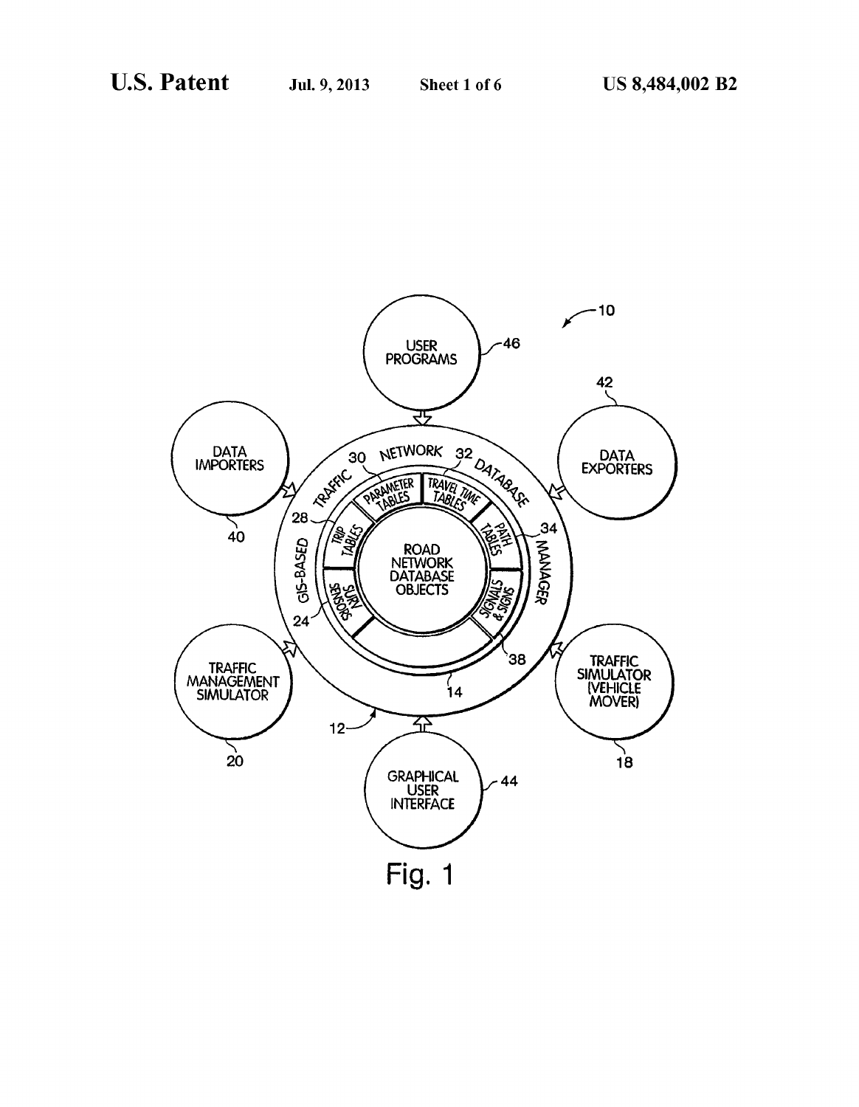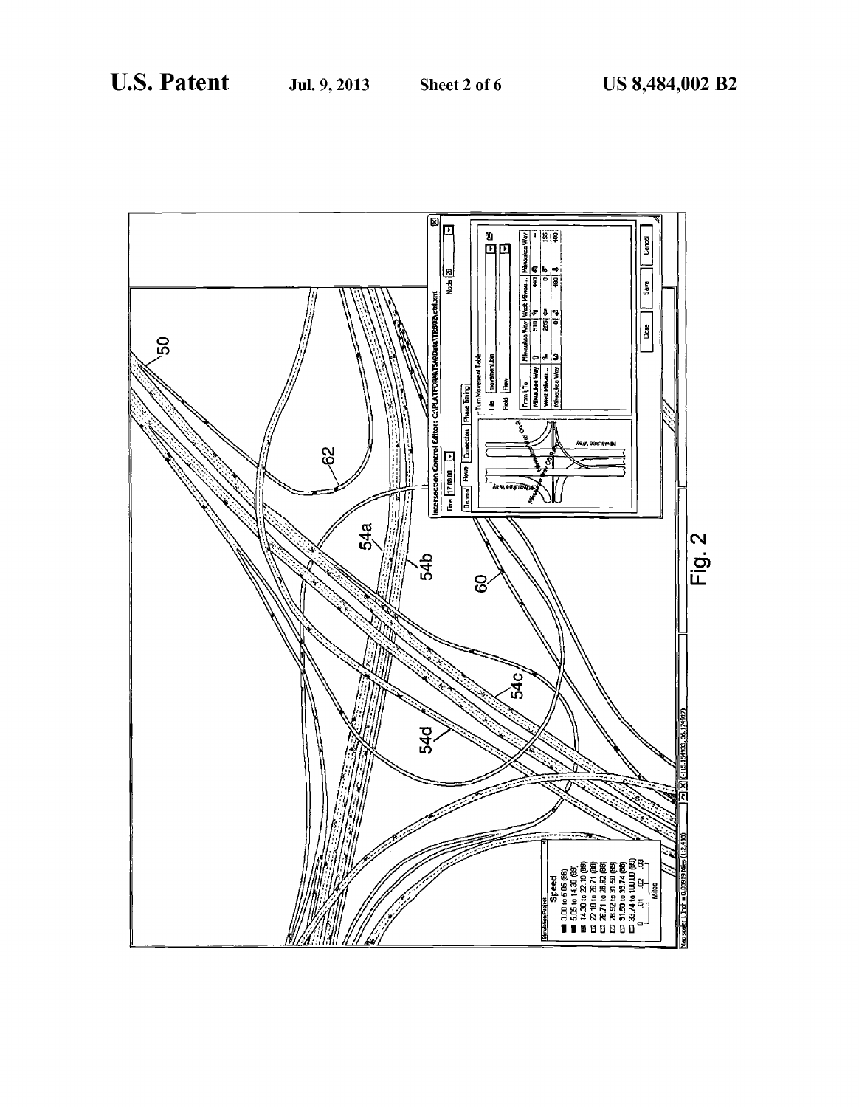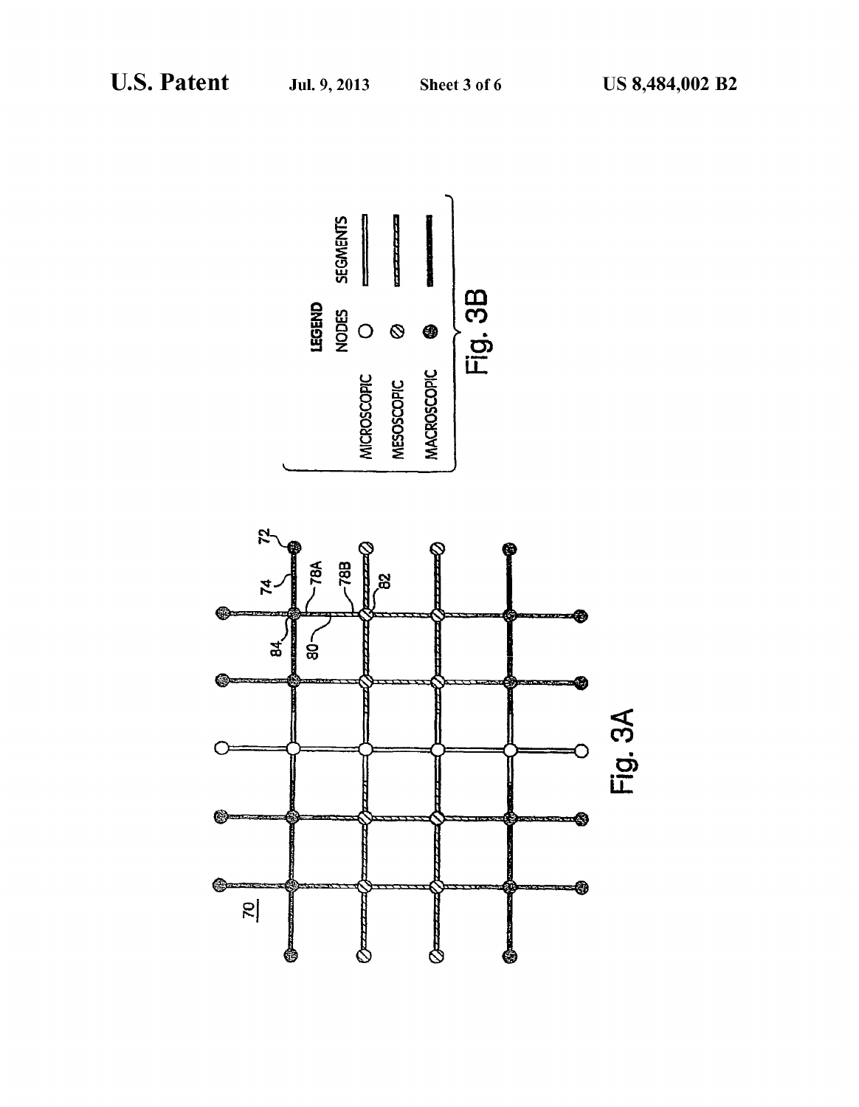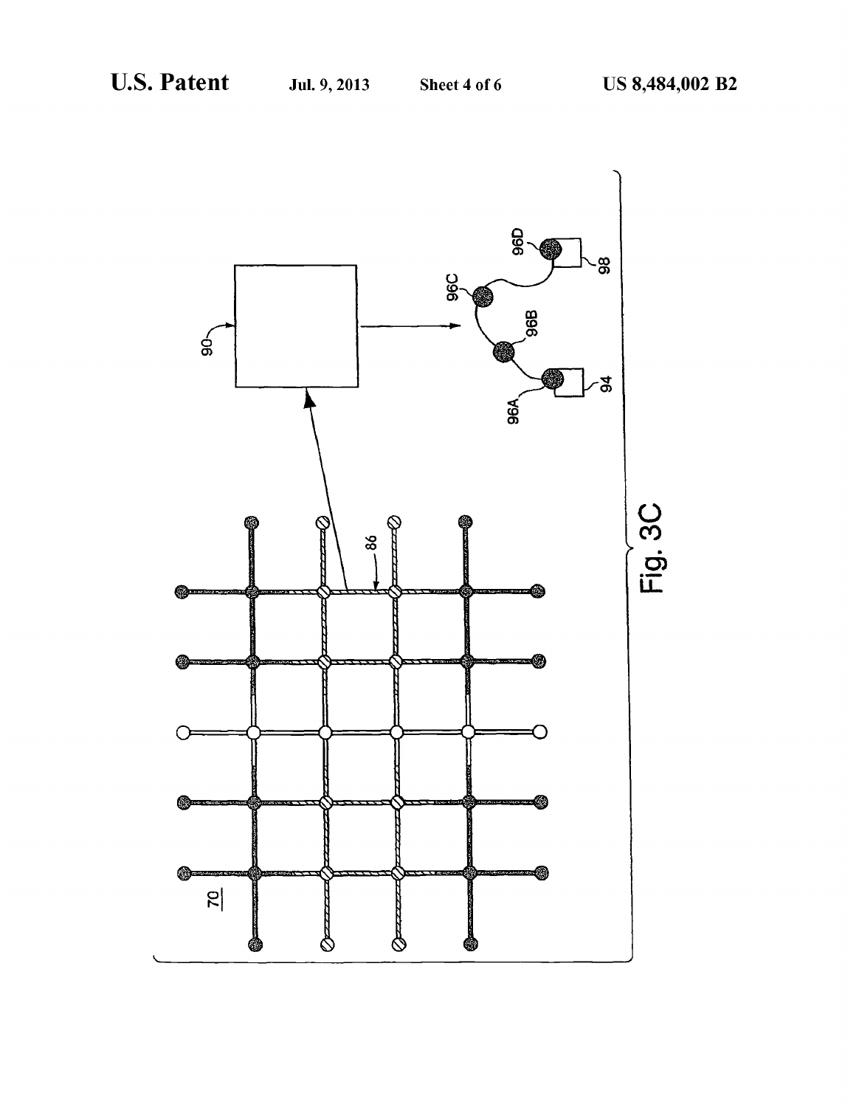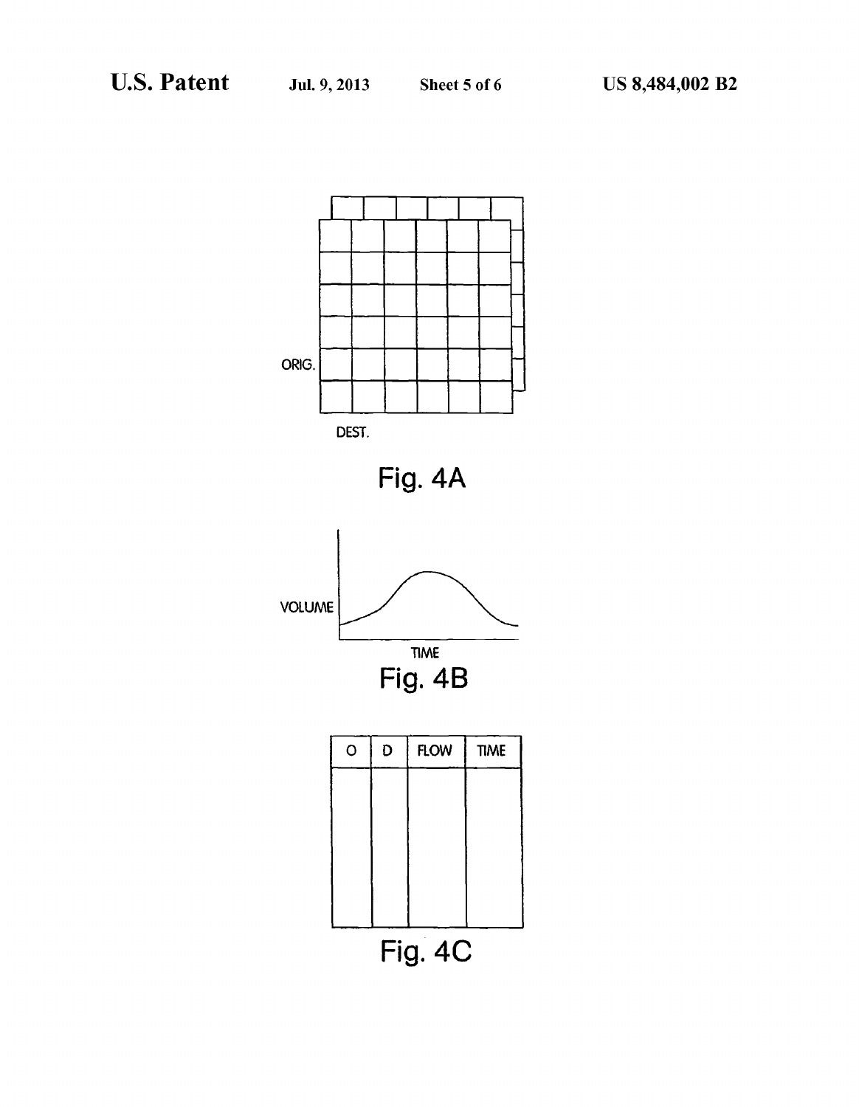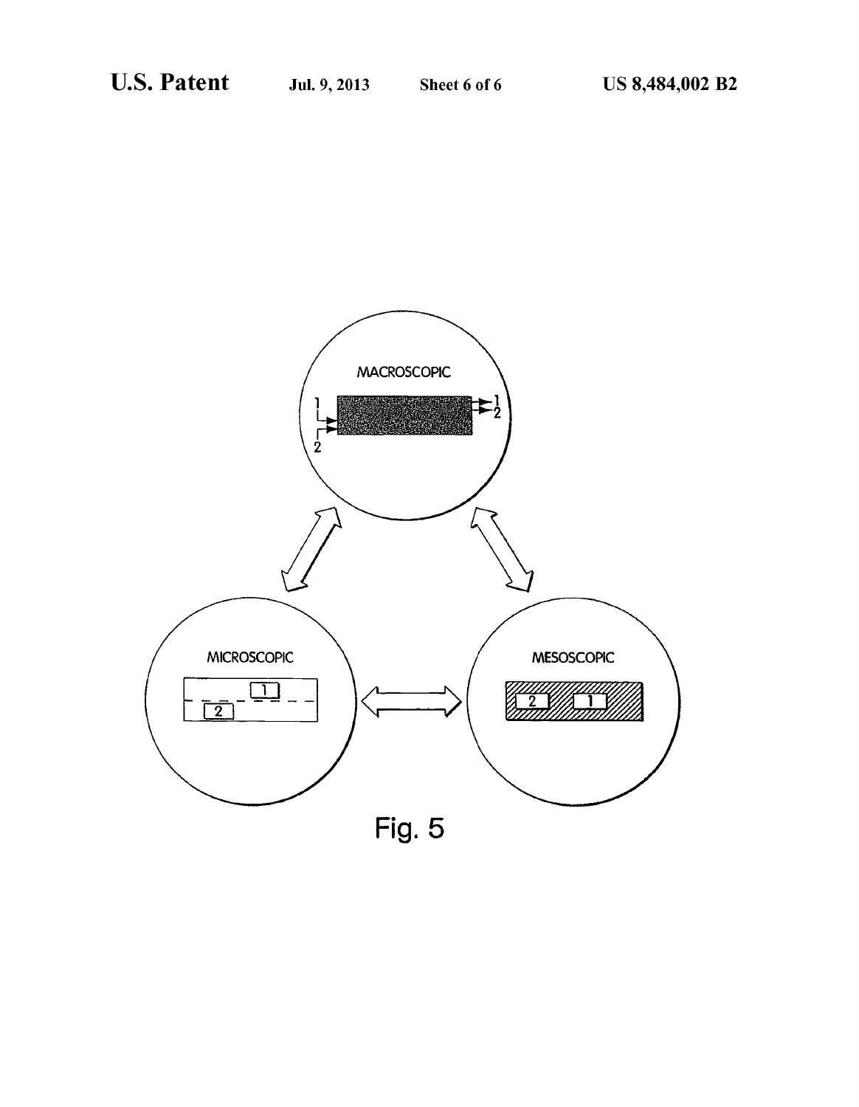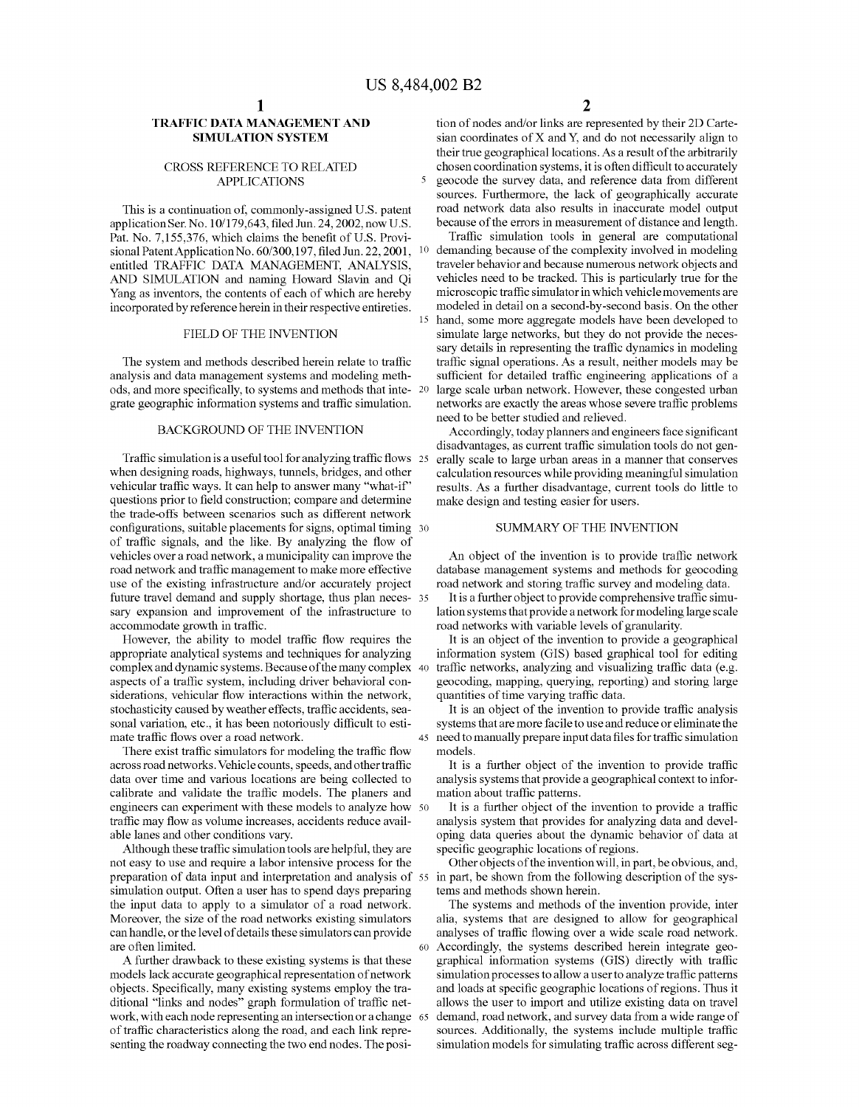#### TRAFFIC DATA MANAGEMENT AND SIMULATION SYSTEM

#### CROSS REFERENCE TO RELATED APPLICATIONS

This is a continuation of, commonly-assigned U.S. patent application Ser. No. 10/179,643, filed Jun. 24, 2002, now U.S. Pat. No. 7,155,376, which claims the benefit of U.S. Provisional Patent Application No. 60/300,197, filed Jun. 22, 2001, entitled TRAFFIC DATA MANAGEMENT, ANALYSIS, AND SIMULATION and naming Howard Slavin and Qi Yang as inventors, the contents of each of which are hereby incorporated by reference herein in their respective entireties.

#### FIELD OF THE INVENTION

The system and methods described herein relate to traffic analysis and data management systems and modeling methods, and more specifically, to systems and methods that integrate geographic information systems and traffic simulation.

#### BACKGROUND OF THE INVENTION

Traffic simulation is a useful tool for analyzing traffic flows 2 when designing roads, highways, tunnels, bridges, and other vehicular traffic ways. It can help to answer many "what-if' questions prior to field construction; compare and determine the trade-offs between scenarios such as different network configurations, suitable placements for signs, optimal timing 30 of traffic signals, and the like. By analyzing the flow of vehicles over a road network, a municipality can improve the use of the existing infrastructure and/or accurately project future travel demand and supply shortage, thus plan neces sary expansion and improvement of the infrastructure to accommodate growth in traffic.

However, the ability to model traffic flow requires the appropriate analytical systems and techniques for analyzing complex and dynamic systems. Because of the many complex aspects of a traffic system, including driver behavioral con siderations, vehicular flow interactions within the network, stochasticity caused by weather effects, traffic accidents, sea sonal variation, etc., it has been notoriously difficult to estimate traffic flows over a road network.

There exist traffic simulators for modeling the traffic flow across road networks. Vehicle counts, speeds, and other traffic data over time and various locations are being collected to calibrate and validate the traffic models. The planers and engineers can experiment with these models to analyze how 50 traffic may flow as volume increases, accidents reduce available lanes and other conditions vary.

Although these traffic simulation tools are helpful, they are not easy to use and require a labor intensive process for the preparation of data input and interpretation and analysis of simulation output. Often a user has to spend days preparing the input data to apply to a simulator of a road network. Moreover, the size of the road networks existing simulators can handle, or the level of details these simulators can provide are often limited.

A further drawback to these existing systems is that these models lack accurate geographical representation of network objects. Specifically, many existing systems employ the traditional "links and nodes" graph formulation of traffic network, with each node representing an intersection or a change of traffic characteristics along the road, and each link representing the roadway connecting the two end nodes. The posi-

tion of nodes and/or links are represented by their 2D Cartesian coordinates of X and Y, and do not necessarily align to their true geographical locations. As a result of the arbitrarily chosen coordination systems, it is often difficult to accurately 5 geocode the survey data, and reference data from different sources. Furthermore, the lack of geographically accurate road network data also results in inaccurate model output because of the errors in measurement of distance and length.

Traffic simulation tools in general are computational demanding because of the complexity involved in modeling traveler behavior and because numerous network objects and vehicles need to be tracked. This is particularly true for the microscopic traffic simulator in which vehicle movements are modeled in detail on a second-by-second basis. On the other hand, some more aggregate models have been developed to simulate large networks, but they do not provide the neces sary details in representing the traffic dynamics in modeling traffic signal operations. As a result, neither models may be sufficient for detailed traffic engineering applications of a large scale urban network. However, these congested urban networks are exactly the areas whose severe traffic problems need to be better studied and relieved.

Accordingly, today planners and engineers face significant disadvantages, as current traffic simulation tools do not gen erally scale to large urban areas in a manner that conserves calculation resources while providing meaningful simulation results. As a further disadvantage, current tools do little to make design and testing easier for users.

#### SUMMARY OF THE INVENTION

An object of the invention is to provide traffic network database management systems and methods for geocoding road network and storing traffic survey and modeling data.

It is a further object to provide comprehensive traffic simulation systems that provide a network for modeling large scale road networks with variable levels of granularity.

It is an object of the invention to provide a geographical information system (GIS) based graphical tool for editing traffic networks, analyzing and visualizing traffic data (e.g. geocoding, mapping, querying, reporting) and storing large quantities of time varying traffic data.

It is an object of the invention to provide traffic analysis systems that are more facile to use and reduce or eliminate the 45 need to manually prepare input data files for traffic simulation models.

It is a further object of the invention to provide traffic analysis systems that provide a geographical context to information about traffic patterns.

It is a further object of the invention to provide a traffic analysis system that provides for analyzing data and developing data queries about the dynamic behavior of data at specific geographic locations of regions.

Other objects of the invention will, in part, be obvious, and, in part, be shown from the following description of the systems and methods shown herein.

The systems and methods of the invention provide, inter alia, systems that are designed to allow for geographical analyses of traffic flowing over a wide scale road network. 60 Accordingly, the systems described herein integrate geographical information systems (GIS) directly with traffic simulation processes to allow a user to analyze traffic patterns and loads at specific geographic locations of regions. Thus it allows the user to import and utilize existing data on travel demand, road network, and survey data from a wide range of sources. Additionally, the systems include multiple traffic simulation models for simulating traffic across different seg-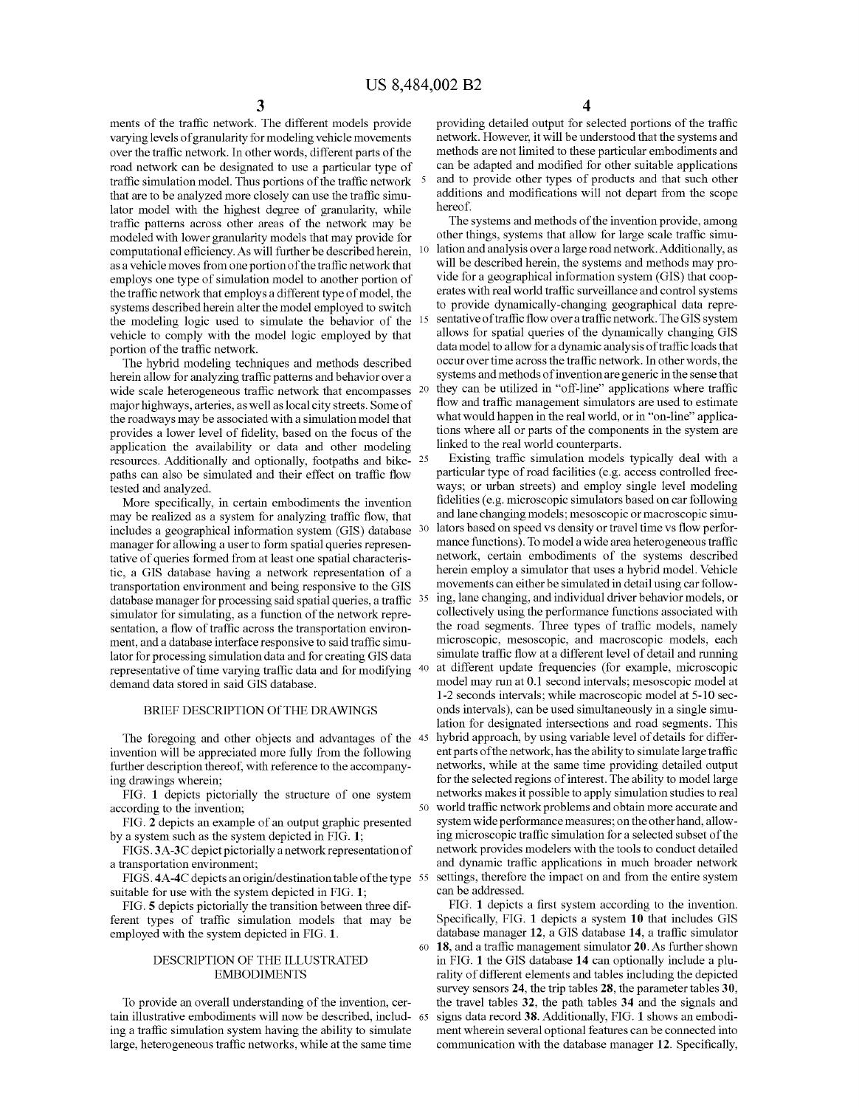ments of the traffic network. The different models provide varying levels of granularity for modeling vehicle movements over the traffic network. In other words, different parts of the road network can be designated to use a particular type of traffic simulation model. Thus portions of the traffic network that are to be analyzed more closely can use the traffic simulator model with the highest degree of granularity, while traffic patterns across other areas of the network may be modeled with lower granularity models that may provide for computational efficiency. As will further be described herein, as a vehicle moves from one portion of the traffic network that employs one type of simulation model to another portion of the traffic network that employs a different type of model, the systems described herein alter the model employed to switch the modeling logic used to simulate the behavior of the vehicle to comply with the model logic employed by that portion of the traffic network.

The hybrid modeling techniques and methods described herein allow for analyzing traffic patterns and behavior over a wide scale heterogeneous traffic network that encompasses <sup>20</sup> major highways, arteries, as well as local city streets. Some of the roadways may be associated with a simulation model that provides a lower level of fidelity, based on the focus of the application the availability or data and other modeling resources. Additionally and optionally, footpaths and bike-25 paths can also be simulated and their effect on traffic flow tested and analyzed.

More specifically, in certain embodiments the invention may be realized as a system for analyzing traffic flow, that includes a geographical information system (GIS) database manager for allowing a user to form spatial queries representative of queries formed from at least one spatial characteristic, a GIS database having a network representation of a transportation environment and being responsive to the GIS database manager for processing said spatial queries, a traffic <sup>35</sup> simulator for simulating, as a function of the network representation, a flow of traffic across the transportation environment, and a database interface responsive to said traffic simulator for processing simulation data and for creating GIS data representative of time varying traffic data and for modifying demand data stored in said GIS database.

#### BRIEF DESCRIPTION Of THE DRAWINGS

The foregoing and other objects and advantages of the 45 invention will be appreciated more fully from the following further description thereof, with reference to the accompanying drawings wherein;

FIG. 1 depicts pictorially the structure of one system according to the invention;

FIG. 2 depicts an example of an output graphic presented by a system such as the system depicted in FIG. 1;

FIGS. 3A-3C depict pictorially a network representation of a transportation environment;

FIGS. 4A-4C depicts an origin/destination table of the type 55 suitable for use with the system depicted in FIG. 1;

FIG. 5 depicts pictorially the transition between three different types of traffic simulation models that may be employed with the system depicted in FIG. 1.

#### DESCRIPTION OF THE ILLUSTRATED EMBODIMENTS

To provide an overall understanding of the invention, cer tain illustrative embodiments will now be described, includ- 65 ing a traffic simulation system having the ability to simulate large, heterogeneous traffic networks, while at the same time

5 and to provide other types of products and that such other providing detailed output for selected portions of the traffic network. However, it will be understood that the systems and can be adapted and modified for other suitable applications additions and modifications will not depart from the scope hereof.

10 lation and analysis over a large road network. Additionally, as 15 sentative of traffic flow over a traffic network. The GIS system 20 they can be utilized in "off-line" applications where traffic The systems and methods of the invention provide, among other things, systems that allow for large scale traffic simuwill be described herein, the systems and methods may provide for a geographical information system (GIS) that cooperates with real world traffic surveillance and control systems to provide dynamically-changing geographical data repreallows for spatial queries of the dynamically changing GIS data model to allow for a dynamic analysis of traffic loads that occur over time across the traffic network. In other words, the systems and methods of invention are generic in the sense that flow and traffic management simulators are used to estimate what would happen in the real world, or in "on-line" applications where all or parts of the components in the system are linked to the real world counterparts.

30 lators based on speed vs density or travel time vs flow perfor- 35 ing, lane changing, and individual driver behavior models, or 40 at different update frequencies (for example, microscopic 45 hybrid approach, by using variable level of details for differ-50 world traffic network problems and obtain more accurate and 55 settings, therefore the impact on and from the entire system Existing traffic simulation models typically deal with a particular type of road facilities (e.g. access controlled freeways; or urban streets) and employ single level modeling fidelities (e.g. microscopic simulators based on car following and lane changing models; mesoscopic or macroscopic simumance functions). To model a wide area heterogeneous traffic network, certain embodiments of the systems described herein employ a simulator that uses a hybrid model. Vehicle movements can either be simulated in detail using car followcollectively using the performance functions associated with the road segments. Three types of traffic models, namely microscopic, mesoscopic, and macroscopic models, each simulate traffic flow at a different level of detail and running model may run at 0.1 second intervals; mesoscopic model at 1-2 seconds intervals; while macroscopic model at 5-10 sec onds intervals), can be used simultaneously in a single simulation for designated intersections and road segments. This ent parts of the network, has the ability to simulate large traffic networks, while at the same time providing detailed output for the selected regions of interest. The ability to model large networks makes it possible to apply simulation studies to real system wide performance measures; on the other hand, allowing microscopic traffic simulation for a selected subset of the network provides modelers with the tools to conduct detailed and dynamic traffic applications in much broader network can be addressed.

60 18, and a traffic management simulator 20. As further shown FIG. 1 depicts a first system according to the invention. Specifically, FIG. 1 depicts a system 10 that includes GIS database manager 12, a GIS database 14, a traffic simulator in FIG. 1 the GIS database 14 can optionally include a plurality of different elements and tables including the depicted survey sensors 24, the trip tables 28, the parameter tables 30, the travel tables 32, the path tables 34 and the signals and signs data record 38. Additionally, FIG. 1 shows an embodiment wherein several optional features can be connected into communication with the database manager 12. Specifically,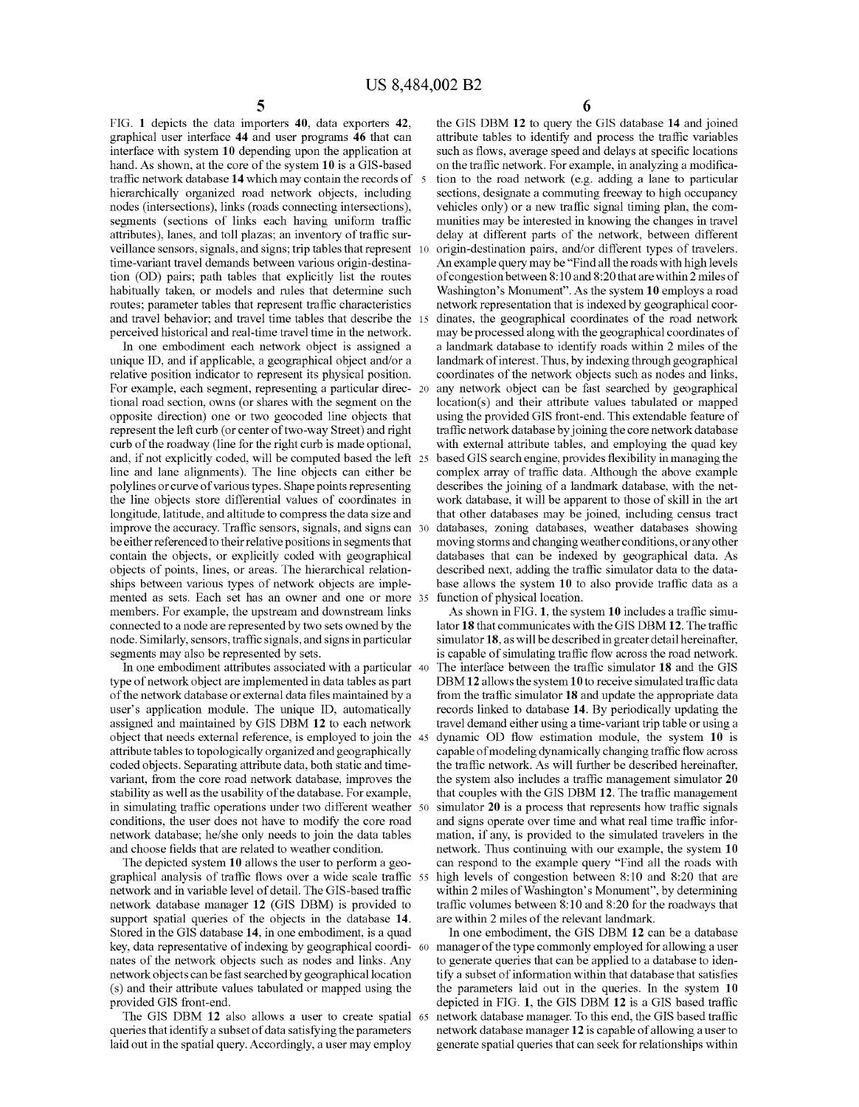FIG. 1 depicts the data importers 40, data exporters 42, graphical user interface 44 and user programs 46 that can interface with system 10 depending upon the application at hand. As shown, at the core of the system 10 is a GIS-based traffic network database 14 which may contain the records of hierarchically organized road network objects, including nodes (intersections), links (roads connecting intersections), segments (sections of links each having uniform traffic attributes), lanes, and toll plazas; an inventory of traffic sur veillance sensors, signals, and signs; trip tables that represent time-variant travel demands between various origin-destination (OD) pairs; path tables that explicitly list the routes habitually taken, or models and rules that determine such routes; parameter tables that represent traffic characteristics and travel behavior; and travel time tables that describe the perceived historical and real-time travel time in the network.

In one embodiment each network object is assigned a unique ID, and if applicable, a geographical object and/or a relative position indicator to represent its physical position. For example, each segment, representing a particular direc- 20 tional road section, owns (or shares with the segment on the opposite direction) one or two geocoded line objects that represent the left curb (or center of two-way Street) and right curb of the roadway (line for the right curb is made optional, and, if not explicitly coded, will be computed based the left line and lane alignments). The line objects can either be polylines or curve of various types. Shape points representing the line objects store differential values of coordinates in longitude, latitude, and altitude to compress the data size and improve the accuracy. Traffic sensors, signals, and signs can 30 be either referenced to their relative positions in segments that contain the objects, or explicitly coded with geographical objects of points, lines, or areas. The hierarchical relationships between various types of network objects are implemented as sets. Each set has an owner and one or more members. For example, the upstream and downstream links connected to a node are represented by two sets owned by the node. Similarly, sensors, traffic signals, and signs in particular segments may also be represented by sets.

In one embodiment attributes associated with a particular 40 type of network object are implemented in data tables as part of the network database or external data files maintained by a user's application module. The unique ID, automatically assigned and maintained by GIS DBM 12 to each network object that needs external reference, is employed to join the attribute tables to topologically organized and geographically coded objects. Separating attribute data, both static and timevariant, from the core road network database, improves the stability as well as the usability of the database. For example, in simulating traffic operations under two different weather 50 conditions, the user does not have to modify the core road network database; he/she only needs to join the data tables and choose fields that are related to weather condition.

The depicted system 10 allows the user to perform a geographical analysis of traffic flows over a wide scale traffic network and in variable level of detail. The GIS-based traffic network database manager 12 (GIS DBM) is provided to support spatial queries of the objects in the database 14. Stored in the GIS database 14, in one embodiment, is a quad key, data representative of indexing by geographical coordinates of the network objects such as nodes and links. Any network objects can be fast searched by geographical location (s) and their attribute values tabulated or mapped using the provided GIS front-end.

The GIS DBM 12 also allows a user to create spatial 65 queries that identify a subset of data satisfying the parameters laid out in the spatial query. Accordingly, a user may employ

6

the GIS DBM 12 to query the GIS database 14 and joined attribute tables to identify and process the traffic variables such as flows, average speed and delays at specific locations on the traffic network. For example, in analyzing a modifica tion to the road network (e.g. adding a lane to particular sections, designate a commuting freeway to high occupancy vehicles only) or a new traffic signal timing plan, the com munities may be interested in knowing the changes in travel delay at different parts of the network, between different origin-destination pairs, and/or different types of travelers. An example query may be "Find all the roads with high levels of congestion between 8:10 and 8:20 that are within 2 miles of Washington's Monument". As the system 10 employs a road network representation that is indexed by geographical coor dinates, the geographical coordinates of the road network may be processed along with the geographical coordinates of a landmark database to identify roads within 2 miles of the landmark of interest. Thus, by indexing through geographical coordinates of the network objects such as nodes and links, any network object can be fast searched by geographical location(s) and their attribute values tabulated or mapped using the provided GIS front-end. This extendable feature of traffic network database by joining the core network database with external attribute tables, and employing the quad key based GIS search engine, provides flexibility in managing the complex array of traffic data. Although the above example describes the joining of a landmark database, with the network database, it will be apparent to those of skill in the art that other databases may be joined, including census tract databases, zoning databases, weather databases showing moving storms and changing weather conditions, or any other databases that can be indexed by geographical data. As described next, adding the traffic simulator data to the database allows the system 10 to also provide traffic data as a function of physical location.

As shown in FIG. 1, the system 10 includes a traffic simulator 18 that communicates with the GIS DBM 12. The traffic simulator 18, as will be described in greater detail hereinafter, is capable of simulating traffic flow across the road network. The interface between the traffic simulator 18 and the GIS DBM 12 allows the system 10 to receive simulated traffic data from the traffic simulator 18 and update the appropriate data records linked to database 14. By periodically updating the travel demand either using a time-variant trip table or using a dynamic OD flow estimation module, the system 10 is capable of modeling dynamically changing traffic flow across the traffic network. As will further be described hereinafter, the system also includes a traffic management simulator 20 that couples with the GIS DBM 12. The traffic management simulator 20 is a process that represents how traffic signals and signs operate over time and what real time traffic information, if any, is provided to the simulated travelers in the network. Thus continuing with our example, the system 10 can respond to the example query "Find all the roads with high levels of congestion between 8:10 and 8:20 that are within 2 miles of Washington's Monument", by determining traffic volumes between 8:10 and 8:20 for the roadways that are within 2 miles of the relevant landmark.

In one embodiment, the GIS DBM 12 can be a database manager of the type commonly employed for allowing a user to generate queries that can be applied to a database to identify a subset of information within that database that satisfies the parameters laid out in the queries. In the system 10 depicted in FIG. 1, the GIS DBM 12 is a GIS based traffic network database manager. To this end, the GIS based traffic network database manager 12 is capable of allowing a user to generate spatial queries that can seek for relationships within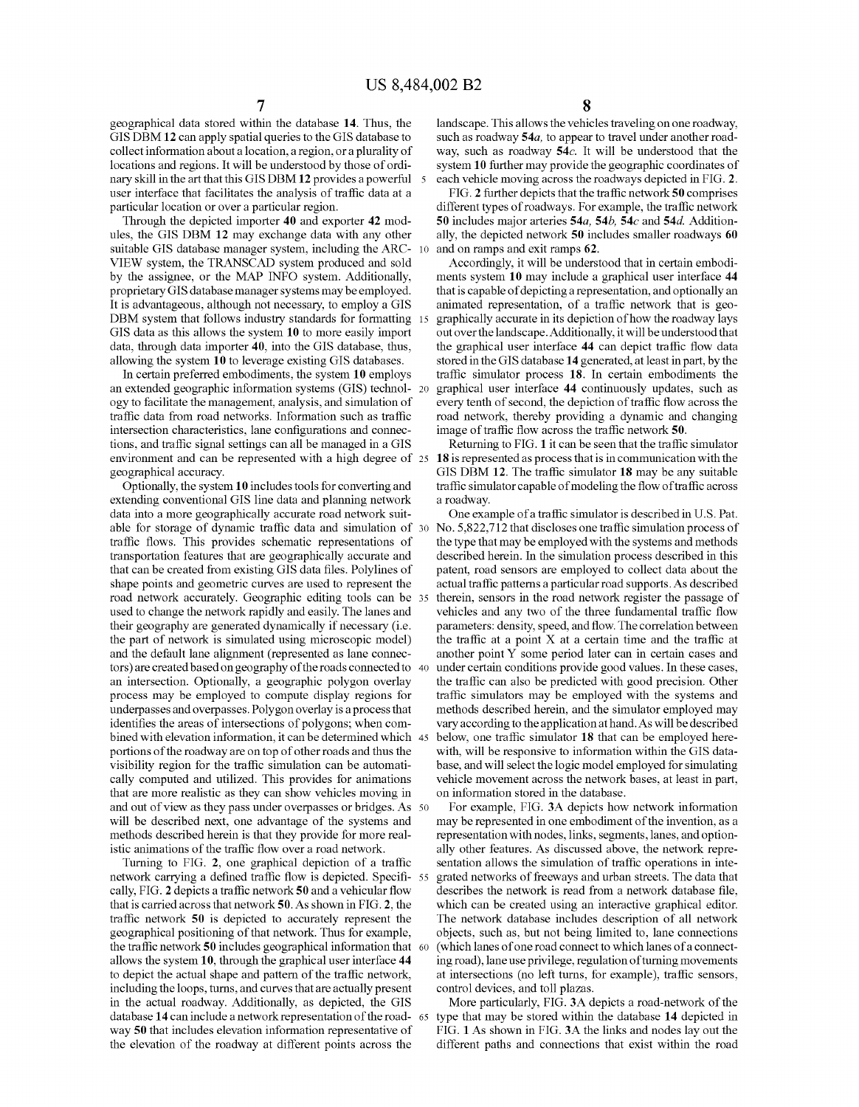geographical data stored within the database 14. Thus, the GIS DBM 12 can apply spatial queries to the GIS database to collect information about a location, a region, or a plurality of locations and regions. It will be understood by those of ordinary skill in the art that this GIS DBM 12 provides a powerful 5 user interface that facilitates the analysis of traffic data at a particular location or over a particular region.

Through the depicted importer 40 and exporter 42 modules, the GIS DBM 12 may exchange data with any other suitable GIS database manager system, including the ARC-VIEW system, the TRANSCAD system produced and sold by the assignee, or the MAP INFO system. Additionally, proprietary GIS database manager systems may be employed. It is advantageous, although not necessary, to employ a GIS DBM system that follows industry standards for formatting 15 GIS data as this allows the system 10 to more easily import data, through data importer 40, into the GIS database, thus, allowing the system 10 to leverage existing GIS databases.

In certain preferred embodiments, the system 10 employs an extended geographic information systems (GIS) technology to facilitate the management, analysis, and simulation of traffic data from road networks. Information such as traffic intersection characteristics, lane configurations and connec tions, and traffic signal settings can all be managed in a GIS environment and can be represented with a high degree of 25 geographical accuracy.

Optionally, the system 10 includes tools for converting and extending conventional GIS line data and planning network data into a more geographically accurate road network suitable for storage of dynamic traffic data and simulation of traffic flows. This provides schematic representations of transportation features that are geographically accurate and that can be created from existing GIS data files. Polylines of shape points and geometric curves are used to represent the road network accurately. Geographic editing tools can be used to change the network rapidly and easily. The lanes and their geography are generated dynamically if necessary (i.e. the part of network is simulated using microscopic model) and the default lane alignment (represented as lane connec tors) are created based on geography of the roads connected to an intersection. Optionally, a geographic polygon overlay process may be employed to compute display regions for underpasses and overpasses. Polygon overlay is a process that identifies the areas of intersections of polygons; when com bined with elevation information, it can be determined which 45 portions of the roadway are on top of other roads and thus the visibility region for the traffic simulation can be automatically computed and utilized. This provides for animations that are more realistic as they can show vehicles moving in and out of view as they pass under overpasses or bridges. As 50 will be described next, one advantage of the systems and methods described herein is that they provide for more realistic animations of the traffic flow over a road network.

Turning to FIG. 2, one graphical depiction of a traffic network carrying a defined traffic flow is depicted. Specifically, FIG. 2 depicts a traffic network 50 and a vehicular flow that is carried across that network 50. As shown in FIG. 2, the traffic network 50 is depicted to accurately represent the geographical positioning of that network. Thus for example, the traffic network 50 includes geographical information that 60 allows the system 10, through the graphical user interface 44 to depict the actual shape and pattern of the traffic network, including the loops, turns, and curves that are actually present in the actual roadway. Additionally, as depicted, the GIS database 14 can include a network representation of the roadway 50 that includes elevation information representative of the elevation of the roadway at different points across the

8

landscape. This allows the vehicles traveling on one roadway, such as roadway 54*a*, to appear to travel under another roadway, such as roadway 54c. It will be understood that the system 10 further may provide the geographic coordinates of each vehicle moving across the roadways depicted in FIG. 2.

FIG. 2 further depicts that the traffic network 50 comprises different types of roadways. For example, the traffic network 50 includes major arteries 54a, 54b, 54c and 54d. Additionally, the depicted network 50 includes smaller roadways 60 and on ramps and exit ramps 62.

Accordingly, it will be understood that in certain embodiments system 10 may include a graphical user interface 44 that is capable of depicting a representation, and optionally an animated representation, of a traffic network that is geo- <sup>15</sup>graphically accurate in its depiction of how the roadway lays out over the landscape. Additionally, it will be understood that the graphical user interface 44 can depict traffic flow data stored in the GIS database 14 generated, at least in part, by the traffic simulator process 18. In certain embodiments the graphical user interface 44 continuously updates, such as every tenth of second, the depiction of traffic flow across the road network, thereby providing a dynamic and changing image of traffic flow across the traffic network 50.

Returning to FIG. 1 it can be seen that the traffic simulator 18 is represented as process that is in communication with the GIS DBM 12. The traffic simulator 18 may be any suitable traffic simulator capable of modeling the flow of traffic across a roadway.

One example of a traffic simulator is described in U.S. Pat. No. 5,822,712 that discloses one traffic simulation process of the type that may be employed with the systems and methods described herein. In the simulation process described in this patent, road sensors are employed to collect data about the actual traffic patterns a particular road supports. As described therein, sensors in the road network register the passage of vehicles and any two of the three fundamental traffic flow parameters: density, speed, and flow. The correlation between the traffic at a point  $X$  at a certain time and the traffic at another point Y some period later can in certain cases and under certain conditions provide good values. In these cases, the traffic can also be predicted with good precision. Other traffic simulators may be employed with the systems and methods described herein, and the simulator employed may vary according to the application at hand. As will be described below, one traffic simulator 18 that can be employed herewith, will be responsive to information within the GIS database, and will select the logic model employed for simulating vehicle movement across the network bases, at least in part, on information stored in the database.

For example, FIG. 3A depicts how network information may be represented in one embodiment of the invention, as a representation with nodes, links, segments, lanes, and optionally other features. As discussed above, the network representation allows the simulation of traffic operations in inte grated networks of freeways and urban streets. The data that describes the network is read from a network database file, which can be created using an interactive graphical editor. The network database includes description of all network objects, such as, but not being limited to, lane connections (which lanes of one road connect to which lanes of a connecting road), lane use privilege, regulation of turning movements at intersections (no left turns, for example), traffic sensors, control devices, and toll plazas.

More particularly, FIG. 3A depicts a road-network of the 65 type that may be stored within the database 14 depicted in FIG. 1 As shown in FIG. 3A the links and nodes lay out the different paths and connections that exist within the road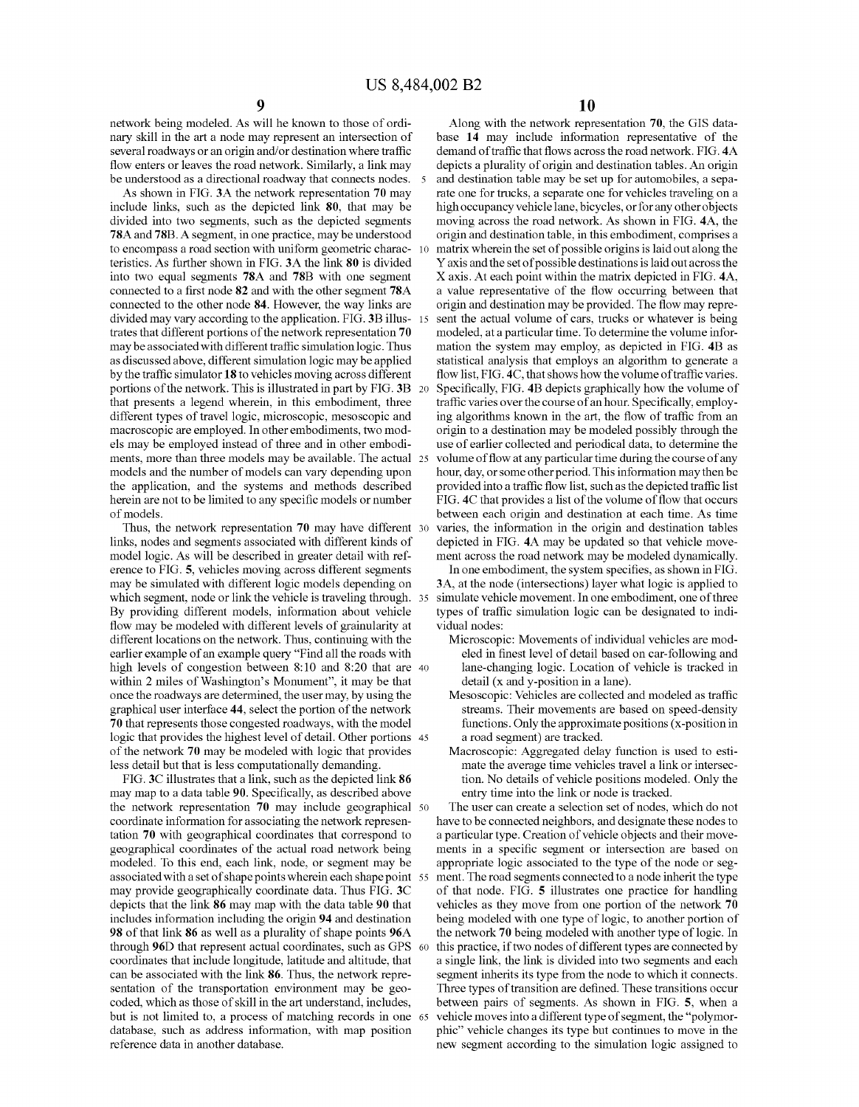network being modeled. As will he known to those of ordinary skill in the art a node may represent an intersection of several roadways or an origin and/or destination where traffic flow enters or leaves the road network. Similarly, a link may be understood as a directional roadway that connects nodes. 5

As shown in FIG. 3A the network representation 70 may include links, such as the depicted link 80, that may be divided into two segments, such as the depicted segments 78A and 78B. A segment, in one practice, may be understood to encompass a road section with uniform geometric charac- 10 teristics. As further shown in FIG. 3A the link 80 is divided into two equal segments 78A and 78B with one segment connected to a first node 82 and with the other segment 78A connected to the other node 84. However, the way links are divided may vary according to the application. FIG. 3B illustrates that different portions of the network representation 70 may be associated with different traffic simulation logic. Thus as discussed above, different simulation logic may be applied by the traffic simulator 18 to vehicles moving across different portions of the network. This is illustrated in part by FIG. 3B that presents a legend wherein, in this embodiment, three different types of travel logic, microscopic, mesoscopic and macroscopic are employed. In other embodiments, two models may be employed instead of three and in other embodiments, more than three models may be available. The actual 25 models and the number of models can vary depending upon the application, and the systems and methods described herein are not to be limited to any specific models or number of models.

Thus, the network representation 70 may have different 30 links, nodes and segments associated with different kinds of model logic. As will be described in greater detail with ref erence to FIG. 5, vehicles moving across different segments may be simulated with different logic models depending on which segment, node or link the vehicle is traveling through. 35 By providing different models, information about vehicle flow may be modeled with different levels of grainularity at different locations on the network. Thus, continuing with the earlier example of an example query "Find all the roads with high levels of congestion between 8:10 and 8:20 that are 40 within 2 miles of Washington's Monument", it may be that once the roadways are determined, the user may, by using the graphical user interface 44, select the portion of the network 70 that represents those congested roadways, with the model logic that provides the highest level of detail. Other portions 45 of the network 70 may be modeled with logic that provides less detail but that is less computationally demanding.

FIG. 3C illustrates that a link, such as the depicted link 86 may map to a data table 90. Specifically, as described above the network representation 70 may include geographical 50 coordinate information for associating the network representation 70 with geographical coordinates that correspond to geographical coordinates of the actual road network being modeled. To this end, each link, node, or segment may be associated with a set of shape points wherein each shape point 55 may provide geographically coordinate data. Thus FIG. 3C depicts that the link 86 may map with the data table 90 that includes information including the origin 94 and destination 98 of that link 86 as well as a plurality of shape points 96A through 96D that represent actual coordinates, such as GPS coordinates that include longitude, latitude and altitude, that can be associated with the link 86. Thus, the network representation of the transportation environment may be geocoded, which as those of skill in the art understand, includes, between pairs of segments. As shown in FIG. 5, when a but is not limited to, a process of matching records in one 65 database, such as address information, with map position reference data in another database.

10

Along with the network representation 70, the GIS database 14 may include information representative of the demand of traffic that flows across the road network. FIG. 4A depicts a plurality of origin and destination tables. An origin and destination table may be set up for automobiles, a separate one for trucks, a separate one for vehicles traveling on a high occupancy vehicle lane, bicycles, or for any other objects moving across the road network. As shown in FIG. 4A, the origin and destination table, in this embodiment, comprises a matrix wherein the set of possible origins is laid out along the Y axis and the set of possible destinations is laid out across the X axis. At each point within the matrix depicted in FIG. 4A, a value representative of the flow occurring between that origin and destination may be provided. The flow may repre sent the actual volume of cars, trucks or whatever is being modeled, at a particular time. To determine the volume information the system may employ, as depicted in FIG. 4B as statistical analysis that employs an algorithm to generate a flow list, FIG. 4C, that shows how the volume of traffic varies. Specifically, FIG. 4B depicts graphically how the volume of traffic varies over the course of an hour. Specifically, employing algorithms known in the art, the flow of traffic from an origin to a destination may be modeled possibly through the use of earlier collected and periodical data, to determine the volume of flow at any particular time during the course of any hour, day, or some other period. This information may then be provided into a traffic flow list, such as the depicted traffic list FIG. 4C that provides a list of the volume of flow that occurs between each origin and destination at each time. As time varies, the information in the origin and destination tables depicted in FIG. 4A may be updated so that vehicle move ment across the road network may be modeled dynamically.

In one embodiment, the system specifies, as shown in FIG. 3A, at the node (intersections) layer what logic is applied to simulate vehicle movement. In one embodiment, one of three types of traffic simulation logic can be designated to individual nodes:

- Microscopic: Movements of individual vehicles are modeled in finest level of detail based on car-following and lane-changing logic. Location of vehicle is tracked in detail (x and y-position in a lane).
- Mesoscopic: Vehicles are collected and modeled as traffic streams. Their movements are based on speed-density functions. Only the approximate positions (x-position in a road segment) are tracked.
- Macroscopic: Aggregated delay function is used to estimate the average time vehicles travel a link or intersection. No details of vehicle positions modeled. Only the entry time into the link or node is tracked.

The user can create a selection set of nodes, which do not have to be connected neighbors, and designate these nodes to a particular type. Creation of vehicle objects and their move ments in a specific segment or intersection are based on appropriate logic associated to the type of the node or seg ment. The road segments connected to a node inherit the type of that node. FIG. 5 illustrates one practice for handling vehicles as they move from one portion of the network 70 being modeled with one type of logic, to another portion of the network 70 being modeled with another type of logic. In this practice, if two nodes of different types are connected by a single link, the link is divided into two segments and each segment inherits its type from the node to which it connects. Three types of transition are defined. These transitions occur vehicle moves into a different type of segment, the "polymorphic" vehicle changes its type but continues to move in the new segment according to the simulation logic assigned to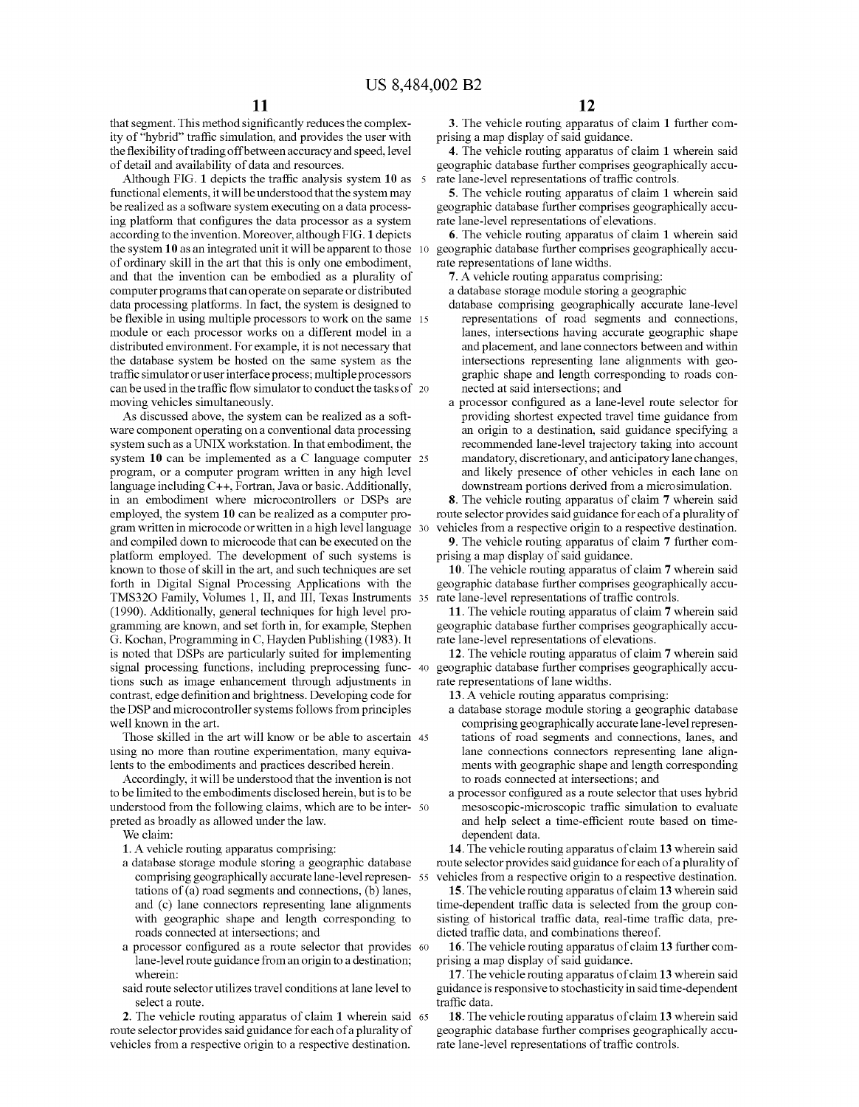that segment. This method significantly reduces the complexity of "hybrid" traffic simulation, and provides the user with the flexibility of trading off between accuracy and speed, level of detail and availability of data and resources.

Although FIG. 1 depicts the traffic analysis system 10 as 5 functional elements, it will be understood that the system may be realized as a software system executing on a data processing platform that configures the data processor as a system rate lane-level representations of elevations. according to the invention. Moreover, although FIG. 1 depicts the system 10 as an integrated unit it will be apparent to those 10 of ordinary skill in the art that this is only one embodiment, and that the invention can be embodied as a plurality of computer programs that can operate on separate or distributed data processing platforms. In fact, the system is designed to be flexible in using multiple processors to work on the same 15 module or each processor works on a different model in a distributed environment. For example, it is not necessary that the database system be hosted on the same system as the traffic simulator or user interface process; multiple processors can be used in the traffic flow simulator to conduct the tasks of moving vehicles simultaneously.

As discussed above, the system can be realized as a soft ware component operating on a conventional data processing system such as a UNIX workstation. In that embodiment, the system 10 can be implemented as a C language computer 25 program, or a computer program written in any high level language including C++, Fortran, Java or basic. Additionally, in an embodiment where microcontrollers or DSPs are employed, the system 10 can be realized as a computer program written in microcode or written in a high level language and compiled down to microcode that can be executed on the platform employed. The development of such systems is known to those of skill in the art, and such techniques are set forth in Digital Signal Processing Applications with the TMS320 Family, Volumes 1, II, and III, Texas Instruments (1990). Additionally, general techniques for high level programming are known, and set forth in, for example, Stephen G. Kochan, Programming in C, Hayden Publishing (1983). It is noted that DSPs are particularly suited for implementing signal processing functions, including preprocessing func- 40 tions such as image enhancement through adjustments in rate representations of lane widths. contrast, edge definition and brightness Developing code for the DSP and microcontroller systems follows from principles well known in the art.

Those skilled in the art will know or be able to ascertain 45 using no more than routine experimentation, many equivalents to the embodiments and practices described herein.

Accordingly, it will be understood that the invention is not to be limited to the embodiments disclosed herein, but is to be understood from the following claims, which are to be inter- 50 preted as broadly as allowed under the law.

We claim:

1. A vehicle routing apparatus comprising:

- a database storage module storing a geographic database comprising geographically accurate lane-level representations of (a) road segments and connections, (b) lanes, and (c) lane connectors representing lane alignments with geographic shape and length corresponding to roads connected at intersections; and
- a processor configured as a route selector that provides lane-level route guidance from an origin to a destination; wherein:
- said route selector utilizes travel conditions at lane level to select a route.

2. The vehicle routing apparatus of claim 1 wherein said route selector provides said guidance for each of a plurality of vehicles from a respective origin to a respective destination.

3. The vehicle routing apparatus of claim 1 further com prising a map display of said guidance.

4. The vehicle routing apparatus of claim 1 wherein said geographic database further comprises geographically accu rate lane-level representations of traffic controls.

5. The vehicle routing apparatus of claim 1 wherein said geographic database further comprises geographically accu-

6. The vehicle routing apparatus of claim 1 wherein said geographic database further comprises geographically accu-

7. A vehicle routing apparatus comprising:

a database storage module storing a geographic

- database comprising geographically accurate lane-level representations of road segments and connections, lanes, intersections having accurate geographic shape and placement, and lane connectors between and within intersections representing lane alignments with geographic shape and length corresponding to roads con nected at said intersections; and
- a processor configured as a lane-level route selector for providing shortest expected travel time guidance from an origin to a destination, said guidance specifying a recommended lane-level trajectory taking into account mandatory, discretionary, and anticipatory lane changes, and likely presence of other vehicles in each lane on downstream portions derived from a microsimulation.

8. The vehicle routing apparatus of claim 7 wherein said route selector provides said guidance for each of a plurality of vehicles from a respective origin to a respective destination.

9. The vehicle routing apparatus of claim 7 further com prising a map display of said guidance.

10. The vehicle routing apparatus of claim 7 wherein said geographic database further comprises geographically accu rate lane-level representations of traffic controls.

11. The vehicle routing apparatus of claim 7 wherein said geographic database further comprises geographically accu-

12. The vehicle routing apparatus of claim 7 wherein said geographic database further comprises geographically accu-

13. A vehicle routing apparatus comprising:

- a database storage module storing a geographic database comprising geographically accurate lane-level represen tations of road segments and connections, lanes, and lane connections connectors representing lane alignments with geographic shape and length corresponding to roads connected at intersections; and
- a processor configured as a route selector that uses hybrid mesoscopic-microscopic traffic simulation to evaluate and help select a time-efficient route based on timedependent data.

14. The vehicle routing apparatus of claim 13 wherein said route selector provides said guidance for each of a plurality of vehicles from a respective origin to a respective destination.

15. The vehicle routing apparatus of claim 13 wherein said time-dependent traffic data is selected from the group con sisting of historical traffic data, real-time traffic data, predicted traffic data, and combinations thereof.

16. The vehicle routing apparatus of claim 13 further comprising a map display of said guidance.

17. The vehicle routing apparatus of claim 13 wherein said guidance is responsive to stochasticity in said time-dependent traffic data.

18. The vehicle routing apparatus of claim 13 wherein said geographic database further comprises geographically accu-